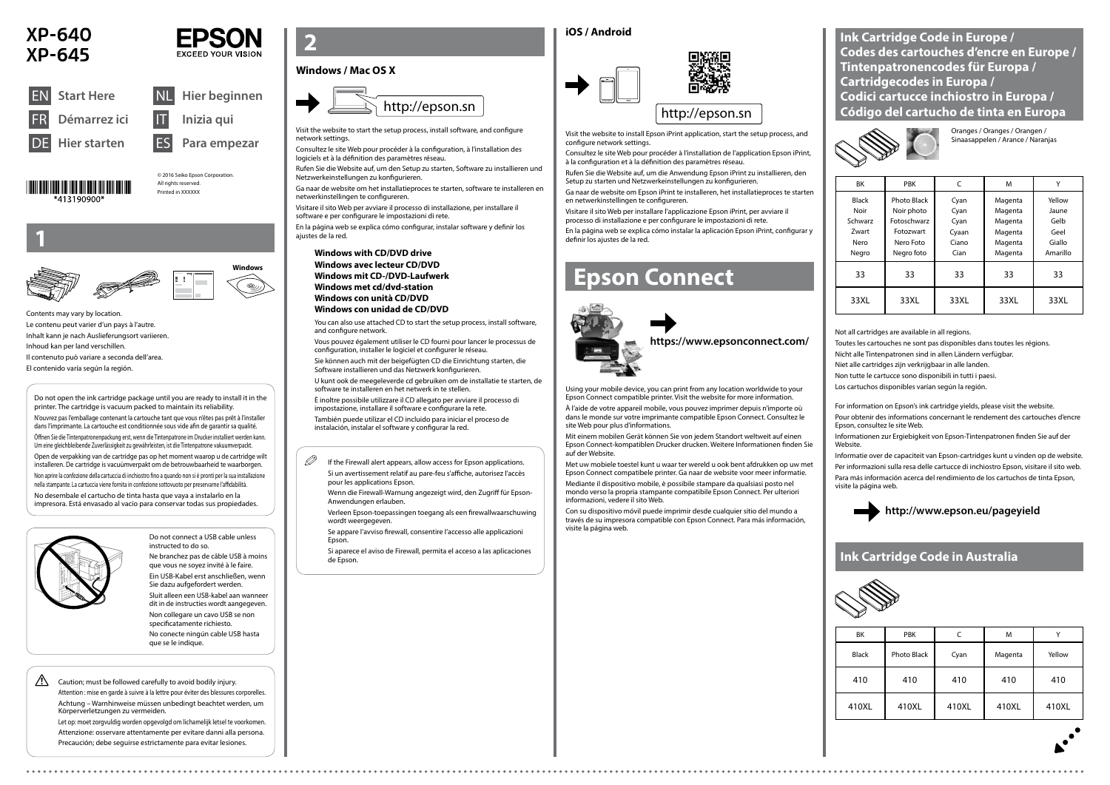





Do not connect a USB cable unless instructed to do so. Ne branchez pas de câble USB à moins que vous ne soyez invité à le faire. Ein USB-Kabel erst anschließen, wenn







Sie dazu aufgefordert werden. Sluit alleen een USB-kabel aan wanneer dit in de instructies wordt aangegeven. Non collegare un cavo USB se non specificatamente richiesto. No conecte ningún cable USB hasta que se le indique.

 $\mathscr{D}$  If the Firewall alert appears, allow access for Epson applications. Si un avertissement relatif au pare-feu s'affiche, autorisez l'accès pour les applications Epson.

**1**

Contents may vary by location. Le contenu peut varier d'un pays à l'autre. Inhalt kann je nach Auslieferungsort variieren. Inhoud kan per land verschillen. Il contenuto può variare a seconda dell'area. El contenido varía según la región.

> Wenn die Firewall-Warnung angezeigt wird, den Zugriff für Epson-Anwendungen erlauben.

> Verleen Epson-toepassingen toegang als een firewallwaarschuwing wordt weergegeven.

Se appare l'avviso firewall, consentire l'accesso alle applicazioni Epson.

Si aparece el aviso de Firewall, permita el acceso a las aplicaciones de Epson.

Visit the website to start the setup process, install software, and configure network settings.

Consultez le site Web pour procéder à la configuration, à l'installation des logiciels et à la définition des paramètres réseau.

Rufen Sie die Website auf, um den Setup zu starten, Software zu installieren und Netzwerkeinstellungen zu konfigurieren.

Ga naar de website om het installatieproces te starten, software te installeren en netwerkinstellingen te configureren.

Visitare il sito Web per avviare il processo di installazione, per installare il software e per configurare le impostazioni di rete.

En la página web se explica cómo configurar, instalar software y definir los ajustes de la red.

# **Epson Connect**



Using your mobile device, you can print from any location worldwide to your Epson Connect compatible printer. Visit the website for more information.

À l'aide de votre appareil mobile, vous pouvez imprimer depuis n'importe où dans le monde sur votre imprimante compatible Epson Connect. Consultez le site Web pour plus d'informations.

Mit einem mobilen Gerät können Sie von jedem Standort weltweit auf einen Epson Connect-kompatiblen Drucker drucken. Weitere Informationen finden Sie auf der Website.

Met uw mobiele toestel kunt u waar ter wereld u ook bent afdrukken op uw met Epson Connect compatibele printer. Ga naar de website voor meer informatie.

Mediante il dispositivo mobile, è possibile stampare da qualsiasi posto nel mondo verso la propria stampante compatibile Epson Connect. Per ulteriori informazioni, vedere il sito Web.

Con su dispositivo móvil puede imprimir desde cualquier sitio del mundo a través de su impresora compatible con Epson Connect. Para más información, visite la página web.

**https://www.epsonconnect.com/**

 $\bigwedge$  Caution; must be followed carefully to avoid bodily injury. Attention : mise en garde à suivre à la lettre pour éviter des blessures corporelles. Achtung – Warnhinweise müssen unbedingt beachtet werden, um Körperverletzungen zu vermeiden.

| <b>BK</b>                                                 | <b>PBK</b>                                                                              | C                                              | M                                                              | ٧                                                     |
|-----------------------------------------------------------|-----------------------------------------------------------------------------------------|------------------------------------------------|----------------------------------------------------------------|-------------------------------------------------------|
| <b>Black</b><br>Noir<br>Schwarz<br>Zwart<br>Nero<br>Negro | <b>Photo Black</b><br>Noir photo<br>Fotoschwarz<br>Fotozwart<br>Nero Foto<br>Negro foto | Cyan<br>Cyan<br>Cyan<br>Cyaan<br>Ciano<br>Cian | Magenta<br>Magenta<br>Magenta<br>Magenta<br>Magenta<br>Magenta | Yellow<br>Jaune<br>Gelb<br>Geel<br>Giallo<br>Amarillo |
| 33                                                        | 33                                                                                      | 33                                             | 33                                                             | 33                                                    |
| 33XL                                                      | 33XL                                                                                    | 33XL                                           | 33XL                                                           | 33XL                                                  |

Oranges / Oranges / Orangen / Sinaasappelen / Arance / Naranjas

Not all cartridges are available in all regions.

Toutes les cartouches ne sont pas disponibles dans toutes les régions.

Nicht alle Tintenpatronen sind in allen Ländern verfügbar.

Niet alle cartridges zijn verkrijgbaar in alle landen.

Non tutte le cartucce sono disponibili in tutti i paesi.

Los cartuchos disponibles varían según la región.

### **http://www.epson.eu/pageyield**

**Ink Cartridge Code in Europe / Codes des cartouches d'encre en Europe / Tintenpatronencodes für Europa / Cartridgecodes in Europa / Codici cartucce inchiostro in Europa / Código del cartucho de tinta en Europa**



Do not open the ink cartridge package until you are ready to install it in the printer. The cartridge is vacuum packed to maintain its reliability. N'ouvrez pas l'emballage contenant la cartouche tant que vous n'êtes pas prêt à l'installer dans l'imprimante. La cartouche est conditionnée sous vide afin de garantir sa qualité. Öffnen Sie die Tintenpatronenpackung erst, wenn die Tintenpatrone im Drucker installiert werden kann. Um eine gleichbleibende Zuverlässigkeit zu gewährleisten, ist die Tintenpatrone vakuumverpackt. Open de verpakking van de cartridge pas op het moment waarop u de cartridge wilt installeren. De cartridge is vacuümverpakt om de betrouwbaarheid te waarborgen. Non aprire la confezione della cartuccia di inchiostro fino a quando non si è pronti per la sua installazione nella stampante. La cartuccia viene fornita in confezione sottovuoto per preservarne l'affidabilità. No desembale el cartucho de tinta hasta que vaya a instalarlo en la impresora. Está envasado al vacío para conservar todas sus propiedades.



### **Windows / Mac OS X**

#### **iOS / Android**





Visit the website to install Epson iPrint application, start the setup process, and configure network settings.

Consultez le site Web pour procéder à l'installation de l'application Epson iPrint, à la configuration et à la définition des paramètres réseau.

Rufen Sie die Website auf, um die Anwendung Epson iPrint zu installieren, den Setup zu starten und Netzwerkeinstellungen zu konfigurieren.

Ga naar de website om Epson iPrint te installeren, het installatieproces te starten en netwerkinstellingen te configureren.

Visitare il sito Web per installare l'applicazione Epson iPrint, per avviare il processo di installazione e per configurare le impostazioni di rete.

En la página web se explica cómo instalar la aplicación Epson iPrint, configurar y definir los ajustes de la red.

Let op: moet zorgvuldig worden opgevolgd om lichamelijk letsel te voorkomen. Attenzione: osservare attentamente per evitare danni alla persona. Precaución; debe seguirse estrictamente para evitar lesiones.



| BK           | <b>PBK</b>  |       | M       |        |
|--------------|-------------|-------|---------|--------|
| <b>Black</b> | Photo Black | Cyan  | Magenta | Yellow |
| 410          | 410         | 410   | 410     | 410    |
| 410XL        | 410XL       | 410XL | 410XL   | 410XL  |

### **Ink Cartridge Code in Australia**



For information on Epson's ink cartridge yields, please visit the website.

Pour obtenir des informations concernant le rendement des cartouches d'encre Epson, consultez le site Web.

Informationen zur Ergiebigkeit von Epson-Tintenpatronen finden Sie auf der Website.

Informatie over de capaciteit van Epson-cartridges kunt u vinden op de website. Per informazioni sulla resa delle cartucce di inchiostro Epson, visitare il sito web. Para más información acerca del rendimiento de los cartuchos de tinta Epson,

visite la página web.

**Windows with CD/DVD drive Windows avec lecteur CD/DVD Windows mit CD-/DVD-Laufwerk Windows met cd/dvd-station Windows con unità CD/DVD Windows con unidad de CD/DVD**

You can also use attached CD to start the setup process, install software, and configure network.

Vous pouvez également utiliser le CD fourni pour lancer le processus de configuration, installer le logiciel et configurer le réseau.

Sie können auch mit der beigefügten CD die Einrichtung starten, die Software installieren und das Netzwerk konfigurieren.

U kunt ook de meegeleverde cd gebruiken om de installatie te starten, de software te installeren en het netwerk in te stellen.

È inoltre possibile utilizzare il CD allegato per avviare il processo di impostazione, installare il software e configurare la rete.

También puede utilizar el CD incluido para iniciar el proceso de instalación, instalar el software y configurar la red.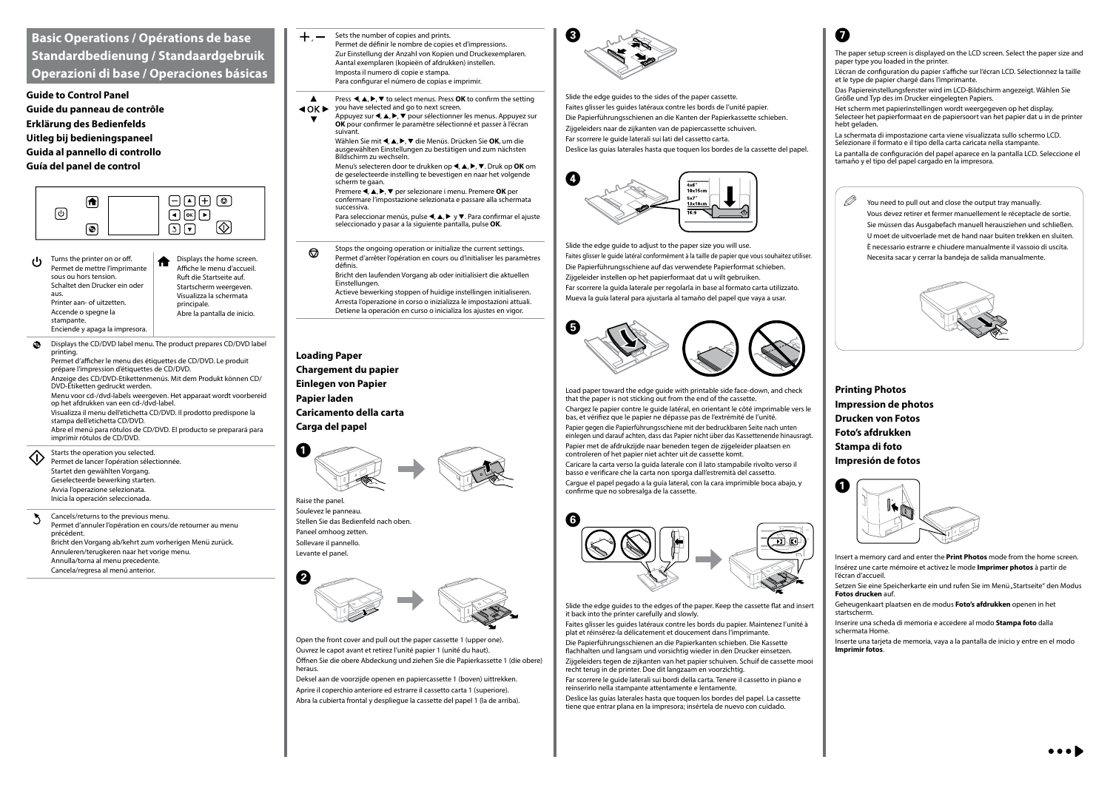### **Basic Operations / Opérations de base Standardbedienung / Standaardgebruik Operazioni di base / Operaciones básicas**

**Guide to Control Panel Guide du panneau de contrôle Erklärung des Bedienfelds Uitleg bij bedieningspaneel Guida al pannello di controllo Guía del panel de control**



- Turns the printer on or off.  $\mathbf{d}$ Permet de mettre l'imprimante sous ou hors tension. Schaltet den Drucker ein oder aus. Printer aan- of uitzetten. Accende o spegne la stampante. Enciende y apaga la impresora.
- Displays the home screen. Affiche le menu d'accueil. Ruft die Startseite auf. Startscherm weergeven. Visualizza la schermata principale. Abre la pantalla de inicio.

 $+,-$ Sets the number of copies and prints. Permet de définir le nombre de copies et d'impressions. Zur Einstellung der Anzahl von Kopien und Druckexemplaren. Aantal exemplaren (kopieën of afdrukken) instellen. Imposta il numero di copie e stampa. Para configurar el número de copias e imprimir.

Press  $\triangle$ ,  $\triangle$ ,  $\triangleright$ ,  $\nabla$  to select menus. Press **OK** to confirm the setting ◆ OK ▶ you have selected and go to next screen.

Displays the CD/DVD label menu. The product prepares CD/DVD label  $\bullet$ printing. Permet d'afficher le menu des étiquettes de CD/DVD. Le produit prépare l'impression d'étiquettes de CD/DVD. Anzeige des CD/DVD-Etikettenmenüs. Mit dem Produkt können CD/ DVD-Etiketten gedruckt werden. Menu voor cd-/dvd-labels weergeven. Het apparaat wordt voorbereid op het afdrukken van een cd-/dvd-label. Visualizza il menu dell'etichetta CD/DVD. Il prodotto predispone la stampa dell'etichetta CD/DVD. Abre el menú para rótulos de CD/DVD. El producto se preparará para imprimir rótulos de CD/DVD. Starts the operation you selected. <心 Permet de lancer l'opération sélectionnée. Startet den gewählten Vorgang. Geselecteerde bewerking starten. Avvia l'operazione selezionata. Inicia la operación seleccionada.

Appuyez sur <, ▲, ▶, ▼ pour sélectionner les menus. Appuyez sur **OK** pour confirmer le paramètre sélectionné et passer à l'écran suivant.

Wählen Sie mit **∢, ▲, ▶, ▼** die Menüs. Drücken Sie **OK**, um die ausgewählten Einstellungen zu bestätigen und zum nächsten Bildschirm zu wechseln.

Menu's selecteren door te drukken op <,  $\blacktriangle$ ,  $\blacktriangleright$ ,  $\nabla$ . Druk op **OK** om de geselecteerde instelling te bevestigen en naar het volgende scherm te gaan.

Premere **4. A,**  $\blacktriangleright$ **,**  $\nabla$  per selezionare i menu. Premere **OK** per confermare l'impostazione selezionata e passare alla schermata successiva.

Para seleccionar menús, pulse  $\blacktriangle, \blacktriangle, \blacktriangleright$  y  $\nabla$ . Para confirmar el ajuste seleccionado y pasar a la siguiente pantalla, pulse **OK**.

Bricht den laufenden Vorgang ab oder initialisiert die aktuellen **Einstellungen** 

Cancels/returns to the previous menu. Permet d'annuler l'opération en cours/de retourner au menu précédent. Bricht den Vorgang ab/kehrt zum vorherigen Menü zurück. Annuleren/terugkeren naar het vorige menu. Annulla/torna al menu precedente. Cancela/regresa al menú anterior.

Stops the ongoing operation or initialize the current settings.  $\odot$ Permet d'arrêter l'opération en cours ou d'initialiser les paramètres définis.

Actieve bewerking stoppen of huidige instellingen initialiseren. Arresta l'operazione in corso o inizializza le impostazioni attuali. Detiene la operación en curso o inicializa los ajustes en vigor.

### **Loading Paper Chargement du papier Einlegen von Papier Papier laden Caricamento della carta Carga del papel**





Raise the panel. Soulevez le panneau. Stellen Sie das Bedienfeld nach oben. Paneel omhoog zetten. Sollevare il pannello. Levante el panel.

Open the front cover and pull out the paper cassette 1 (upper one). Ouvrez le capot avant et retirez l'unité papier 1 (unité du haut). Öffnen Sie die obere Abdeckung und ziehen Sie die Papierkassette 1 (die obere) heraus.

 $\mathscr{D}$  You need to pull out and close the output tray manually. Vous devez retirer et fermer manuellement le réceptacle de sortie. Sie müssen das Ausgabefach manuell herausziehen und schließen. U moet de uitvoerlade met de hand naar buiten trekken en sluiten. È necessario estrarre e chiudere manualmente il vassoio di uscita. Necesita sacar y cerrar la bandeja de salida manualmente.



Deksel aan de voorzijde openen en papiercassette 1 (boven) uittrekken. Aprire il coperchio anteriore ed estrarre il cassetto carta 1 (superiore). Abra la cubierta frontal y despliegue la cassette del papel 1 (la de arriba).



Slide the edge guides to the sides of the paper cassette. Faites glisser les guides latéraux contre les bords de l'unité papier. Die Papierführungsschienen an die Kanten der Papierkassette schieben. Zijgeleiders naar de zijkanten van de papiercassette schuiven. Far scorrere le guide laterali sui lati del cassetto carta. Deslice las guías laterales hasta que toquen los bordes de la cassette del papel.



Slide the edge guide to adjust to the paper size you will use. Faites glisser le guide latéral conformément à la taille de papier que vous souhaitez utiliser. Die Papierführungsschiene auf das verwendete Papierformat schieben. Zijgeleider instellen op het papierformaat dat u wilt gebruiken. Far scorrere la guida laterale per regolarla in base al formato carta utilizzato. Mueva la guía lateral para ajustarla al tamaño del papel que vaya a usar.



Load paper toward the edge guide with printable side face-down, and check that the paper is not sticking out from the end of the cassette. Chargez le papier contre le guide latéral, en orientant le côté imprimable vers le bas, et vérifiez que le papier ne dépasse pas de l'extrémité de l'unité. Papier gegen die Papierführungsschiene mit der bedruckbaren Seite nach unten einlegen und darauf achten, dass das Papier nicht über das Kassettenende hinausragt. Papier met de afdrukzijde naar beneden tegen de zijgeleider plaatsen en controleren of het papier niet achter uit de cassette komt. Caricare la carta verso la guida laterale con il lato stampabile rivolto verso il basso e verificare che la carta non sporga dall'estremità del cassetto. Cargue el papel pegado a la guía lateral, con la cara imprimible boca abajo, y confirme que no sobresalga de la cassette.



Slide the edge guides to the edges of the paper. Keep the cassette flat and insert it back into the printer carefully and slowly.

Faites glisser les guides latéraux contre les bords du papier. Maintenez l'unité à plat et réinsérez-la délicatement et doucement dans l'imprimante.

Die Papierführungsschienen an die Papierkanten schieben. Die Kassette flachhalten und langsam und vorsichtig wieder in den Drucker einsetzen. Zijgeleiders tegen de zijkanten van het papier schuiven. Schuif de cassette mooi

recht terug in de printer. Doe dit langzaam en voorzichtig. Far scorrere le guide laterali sui bordi della carta. Tenere il cassetto in piano e

reinserirlo nella stampante attentamente e lentamente.

Deslice las guías laterales hasta que toquen los bordes del papel. La cassette tiene que entrar plana en la impresora; insértela de nuevo con cuidado.

**Printing Photos Impression de photos Drucken von Fotos Foto's afdrukken Stampa di foto Impresión de fotos**



- Insert a memory card and enter the **Print Photos** mode from the home screen. Insérez une carte mémoire et activez le mode **Imprimer photos** à partir de l'écran d'accueil.
- Setzen Sie eine Speicherkarte ein und rufen Sie im Menü "Startseite" den Modus **Fotos drucken** auf.
- Geheugenkaart plaatsen en de modus **Foto's afdrukken** openen in het startscherm.
- Inserire una scheda di memoria e accedere al modo **Stampa foto** dalla schermata Home.
- Inserte una tarjeta de memoria, vaya a la pantalla de inicio y entre en el modo **Imprimir fotos**.





- The paper setup screen is displayed on the LCD screen. Select the paper size and paper type you loaded in the printer.
- L'écran de configuration du papier s'affiche sur l'écran LCD. Sélectionnez la taille et le type de papier chargé dans l'imprimante.
- Das Papiereinstellungsfenster wird im LCD-Bildschirm angezeigt. Wählen Sie Größe und Typ des im Drucker eingelegten Papiers.
- Het scherm met papierinstellingen wordt weergegeven op het display. Selecteer het papierformaat en de papiersoort van het papier dat u in de printer hebt geladen
- La schermata di impostazione carta viene visualizzata sullo schermo LCD. Selezionare il formato e il tipo della carta caricata nella stampante.
- La pantalla de configuración del papel aparece en la pantalla LCD. Seleccione el tamaño y el tipo del papel cargado en la impresora.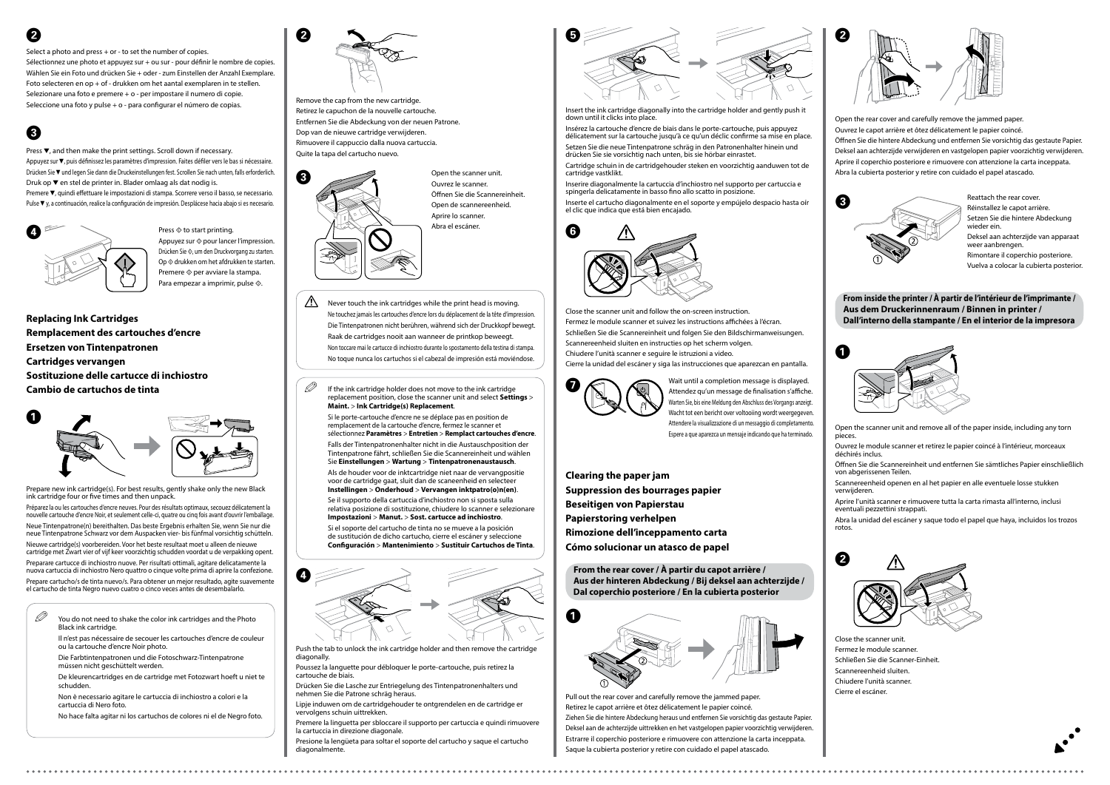











**Replacing Ink Cartridges Remplacement des cartouches d'encre Ersetzen von Tintenpatronen Cartridges vervangen Sostituzione delle cartucce di inchiostro Cambio de cartuchos de tinta**

Prepare new ink cartridge(s). For best results, gently shake only the new Black ink cartridge four or five times and then unpack.

Préparez la ou les cartouches d'encre neuves. Pour des résultats optimaux, secouez délicatement la nouvelle cartouche d'encre Noir, et seulement celle-ci, quatre ou cinq fois avant d'ouvrir l'emballage. Neue Tintenpatrone(n) bereithalten. Das beste Ergebnis erhalten Sie, wenn Sie nur die neue Tintenpatrone Schwarz vor dem Auspacken vier- bis fünfmal vorsichtig schütteln.

Nieuwe cartridge(s) voorbereiden. Voor het beste resultaat moet u alleen de nieuwe cartridge met Zwart vier of vijf keer voorzichtig schudden voordat u de verpakking opent. Preparare cartucce di inchiostro nuove. Per risultati ottimali, agitare delicatamente la nuova cartuccia di inchiostro Nero quattro o cinque volte prima di aprire la confezione. Prepare cartucho/s de tinta nuevo/s. Para obtener un mejor resultado, agite suavemente el cartucho de tinta Negro nuevo cuatro o cinco veces antes de desembalarlo.

Open the scanner unit. Ouvrez le scanner. Öffnen Sie die Scannereinheit. Open de scannereenheid. Aprire lo scanner. Abra el escáner.

Remove the cap from the new cartridge. Retirez le capuchon de la nouvelle cartouche. Entfernen Sie die Abdeckung von der neuen Patrone. Dop van de nieuwe cartridge verwijderen. Rimuovere il cappuccio dalla nuova cartuccia. Quite la tapa del cartucho nuevo.

Insert the ink cartridge diagonally into the cartridge holder and gently push it down until it clicks into place.

Insérez la cartouche d'encre de biais dans le porte-cartouche, puis appuyez délicatement sur la cartouche jusqu'à ce qu'un déclic confirme sa mise en place. Setzen Sie die neue Tintenpatrone schräg in den Patronenhalter hinein und drücken Sie sie vorsichtig nach unten, bis sie hörbar einrastet.

Cartridge schuin in de cartridgehouder steken en voorzichtig aanduwen tot de cartridge vastklikt.

Inserire diagonalmente la cartuccia d'inchiostro nel supporto per cartuccia e spingerla delicatamente in basso fino allo scatto in posizione.

Inserte el cartucho diagonalmente en el soporte y empújelo despacio hasta oír el clic que indica que está bien encajado.

Close the scanner unit and follow the on-screen instruction. Fermez le module scanner et suivez les instructions affichées à l'écran. Schließen Sie die Scannereinheit und folgen Sie den Bildschirmanweisungen. Scannereenheid sluiten en instructies op het scherm volgen. Chiudere l'unità scanner e seguire le istruzioni a video. Cierre la unidad del escáner y siga las instrucciones que aparezcan en pantalla.



 $\mathscr{D}$  You do not need to shake the color ink cartridges and the Photo Black ink cartridge.

**Clearing the paper jam Suppression des bourrages papier Beseitigen von Papierstau Papierstoring verhelpen Rimozione dell'inceppamento carta Cómo solucionar un atasco de papel**

 $\mathscr{D}$  If the ink cartridge holder does not move to the ink cartridge replacement position, close the scanner unit and select **Settings** > **Maint.** > **Ink Cartridge(s) Replacement**.

> Pull out the rear cover and carefully remove the jammed paper. Retirez le capot arrière et ôtez délicatement le papier coincé. Ziehen Sie die hintere Abdeckung heraus und entfernen Sie vorsichtig das gestaute Papier. Deksel aan de achterzijde uittrekken en het vastgelopen papier voorzichtig verwijderen. Estrarre il coperchio posteriore e rimuovere con attenzione la carta inceppata. Saque la cubierta posterior y retire con cuidado el papel atascado.

Open the rear cover and carefully remove the jammed paper.

Ouvrez le capot arrière et ôtez délicatement le papier coincé.

Öffnen Sie die hintere Abdeckung und entfernen Sie vorsichtig das gestaute Papier. Deksel aan achterzijde verwijderen en vastgelopen papier voorzichtig verwijderen. Aprire il coperchio posteriore e rimuovere con attenzione la carta inceppata. Abra la cubierta posterior y retire con cuidado el papel atascado.

 $\bigwedge$  Never touch the ink cartridges while the print head is moving. Ne touchez jamais les cartouches d'encre lors du déplacement de la tête d'impression. Die Tintenpatronen nicht berühren, während sich der Druckkopf bewegt. Raak de cartridges nooit aan wanneer de printkop beweegt. Non toccare mai le cartucce di inchiostro durante lo spostamento della testina di stampa. No toque nunca los cartuchos si el cabezal de impresión está moviéndose.

Reattach the rear cover. Réinstallez le capot arrière. Setzen Sie die hintere Abdeckung wieder ein. Deksel aan achterzijde van apparaat weer aanbrengen. Rimontare il coperchio posteriore. Vuelva a colocar la cubierta posterior.







**From the rear cover / À partir du capot arrière / Aus der hinteren Abdeckung / Bij deksel aan achterzijde / Dal coperchio posteriore / En la cubierta posterior**



#### **From inside the printer / À partir de l'intérieur de l'imprimante / Aus dem Druckerinnenraum / Binnen in printer / Dall'interno della stampante / En el interior de la impresora**

Open the scanner unit and remove all of the paper inside, including any torn pieces.

Ouvrez le module scanner et retirez le papier coincé à l'intérieur, morceaux déchirés inclus.

Öffnen Sie die Scannereinheit und entfernen Sie sämtliches Papier einschließlich von abgerissenen Teilen.

Wait until a completion message is displayed. Attendez qu'un message de finalisation s'affiche. Warten Sie, bis eine Meldung den Abschluss des Vorgangs anzeigt. Wacht tot een bericht over voltooiing wordt weergegeven. Attendere la visualizzazione di un messaggio di completamento. Espere a que aparezca un mensaje indicando que ha terminado.

> Scannereenheid openen en al het papier en alle eventuele losse stukken verwijderen.

Aprire l'unità scanner e rimuovere tutta la carta rimasta all'interno, inclusi eventuali pezzettini strappati.

Abra la unidad del escáner y saque todo el papel que haya, incluidos los trozos rotos.



Close the scanner unit.

- Fermez le module scanner.
- Schließen Sie die Scanner-Einheit.
- Scannereenheid sluiten.
- Chiudere l'unità scanner.
- Cierre el escáner.

Il n'est pas nécessaire de secouer les cartouches d'encre de couleur ou la cartouche d'encre Noir photo.

Die Farbtintenpatronen und die Fotoschwarz-Tintenpatrone müssen nicht geschüttelt werden.

De kleurencartridges en de cartridge met Fotozwart hoeft u niet te schudden.

Non è necessario agitare le cartuccia di inchiostro a colori e la cartuccia di Nero foto.

No hace falta agitar ni los cartuchos de colores ni el de Negro foto.

Si le porte-cartouche d'encre ne se déplace pas en position de remplacement de la cartouche d'encre, fermez le scanner et sélectionnez **Paramètres** > **Entretien** > **Remplact cartouches d'encre**. Falls der Tintenpatronenhalter nicht in die Austauschposition der

Tintenpatrone fährt, schließen Sie die Scannereinheit und wählen Sie **Einstellungen** > **Wartung** > **Tintenpatronenaustausch**.

Als de houder voor de inktcartridge niet naar de vervangpositie voor de cartridge gaat, sluit dan de scaneenheid en selecteer **Instellingen** > **Onderhoud** > **Vervangen inktpatro(o)n(en)**.

Se il supporto della cartuccia d'inchiostro non si sposta sulla relativa posizione di sostituzione, chiudere lo scanner e selezionare **Impostazioni** > **Manut.** > **Sost. cartucce ad inchiostro**.

Si el soporte del cartucho de tinta no se mueve a la posición de sustitución de dicho cartucho, cierre el escáner y seleccione **Configuración** > **Mantenimiento** > **Sustituir Cartuchos de Tinta**.

Push the tab to unlock the ink cartridge holder and then remove the cartridge diagonally.

Poussez la languette pour débloquer le porte-cartouche, puis retirez la cartouche de biais.

Drücken Sie die Lasche zur Entriegelung des Tintenpatronenhalters und nehmen Sie die Patrone schräg heraus.

Lipje induwen om de cartridgehouder te ontgrendelen en de cartridge er vervolgens schuin uittrekken.

Premere la linguetta per sbloccare il supporto per cartuccia e quindi rimuovere la cartuccia in direzione diagonale.

Presione la lengüeta para soltar el soporte del cartucho y saque el cartucho diagonalmente.

## C

Press  $\blacktriangledown$ , and then make the print settings. Scroll down if necessary. Appuyez sur  $\blacktriangledown$ , puis définissez les paramètres d'impression. Faites défiler vers le bas si nécessaire. Drücken Sie ▼ und legen Sie dann die Druckeinstellungen fest. Scrollen Sie nach unten, falls erforderlich. Druk op  $\blacktriangledown$  en stel de printer in. Blader omlaag als dat nodig is. Premere ▼, quindi effettuare le impostazioni di stampa. Scorrere verso il basso, se necessario. Pulse ▼ y, a continuación, realice la configuración de impresión. Desplácese hacia abajo si es necesario.



Press  $\otimes$  to start printing. Appuyez sur  $\Diamond$  pour lancer l'impression. Drücken Sie  $\otimes$ , um den Druckvorgang zu starten. Op  $\otimes$  drukken om het afdrukken te starten. Premere  $\Diamond$  per avviare la stampa. Para empezar a imprimir, pulse  $\hat{\infty}$ .

## B

Select a photo and press + or - to set the number of copies.

Sélectionnez une photo et appuyez sur + ou sur - pour définir le nombre de copies. Wählen Sie ein Foto und drücken Sie + oder - zum Einstellen der Anzahl Exemplare. Foto selecteren en op + of - drukken om het aantal exemplaren in te stellen. Selezionare una foto e premere + o - per impostare il numero di copie. Seleccione una foto y pulse + o - para configurar el número de copias.